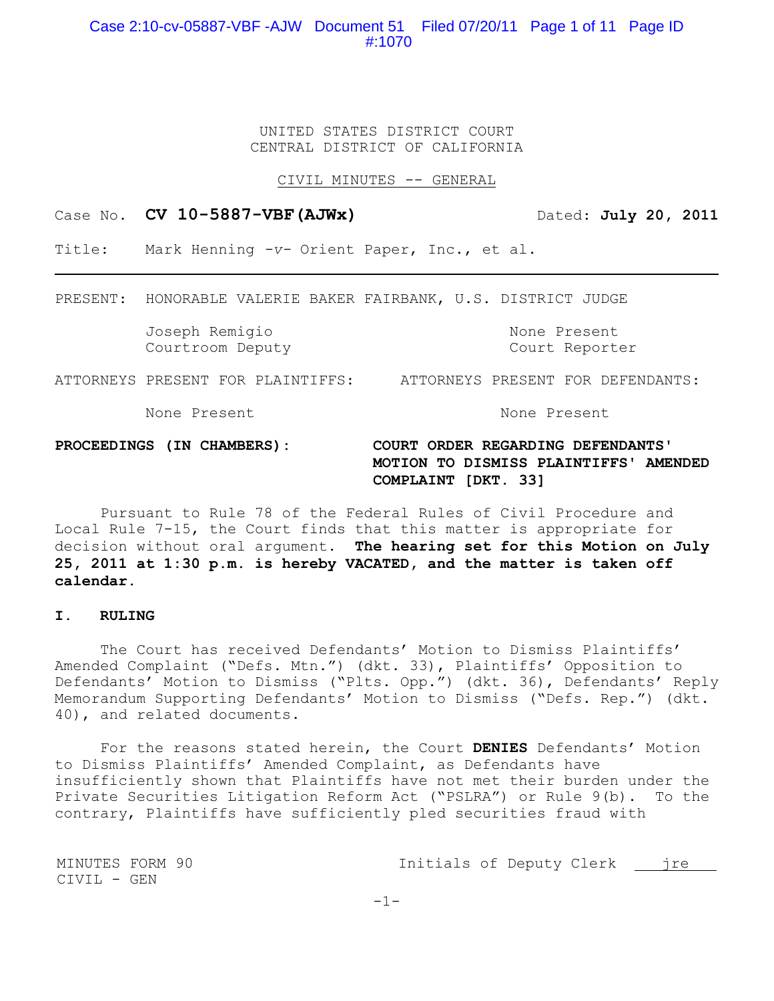# Case 2:10-cv-05887-VBF -AJW Document 51 Filed 07/20/11 Page 1 of 11 Page ID #:1070

UNITED STATES DISTRICT COURT CENTRAL DISTRICT OF CALIFORNIA

CIVIL MINUTES -- GENERAL

Case No. **CV 10-5887-VBF(AJWx)** Dated: **July 20, 2011** 

Title: Mark Henning *-v-* Orient Paper, Inc., et al.

PRESENT: HONORABLE VALERIE BAKER FAIRBANK, U.S. DISTRICT JUDGE

Joseph Remigio None Present Courtroom Deputy Court Reporter

ATTORNEYS PRESENT FOR PLAINTIFFS: ATTORNEYS PRESENT FOR DEFENDANTS:

None Present and None Present

# **PROCEEDINGS (IN CHAMBERS): COURT ORDER REGARDING DEFENDANTS' MOTION TO DISMISS PLAINTIFFS' AMENDED COMPLAINT [DKT. 33]**

Pursuant to Rule 78 of the Federal Rules of Civil Procedure and Local Rule 7-15, the Court finds that this matter is appropriate for decision without oral argument. **The hearing set for this Motion on July 25, 2011 at 1:30 p.m. is hereby VACATED, and the matter is taken off calendar.**

## **I. RULING**

The Court has received Defendants' Motion to Dismiss Plaintiffs' Amended Complaint ("Defs. Mtn.") (dkt. 33), Plaintiffs' Opposition to Defendants' Motion to Dismiss ("Plts. Opp.") (dkt. 36), Defendants' Reply Memorandum Supporting Defendants' Motion to Dismiss ("Defs. Rep.") (dkt. 40), and related documents.

For the reasons stated herein, the Court **DENIES** Defendants' Motion to Dismiss Plaintiffs' Amended Complaint, as Defendants have insufficiently shown that Plaintiffs have not met their burden under the Private Securities Litigation Reform Act ("PSLRA") or Rule 9(b). To the contrary, Plaintiffs have sufficiently pled securities fraud with

MINUTES FORM 90 Initials of Deputy Clerk jre CIVIL - GEN

 $-1-$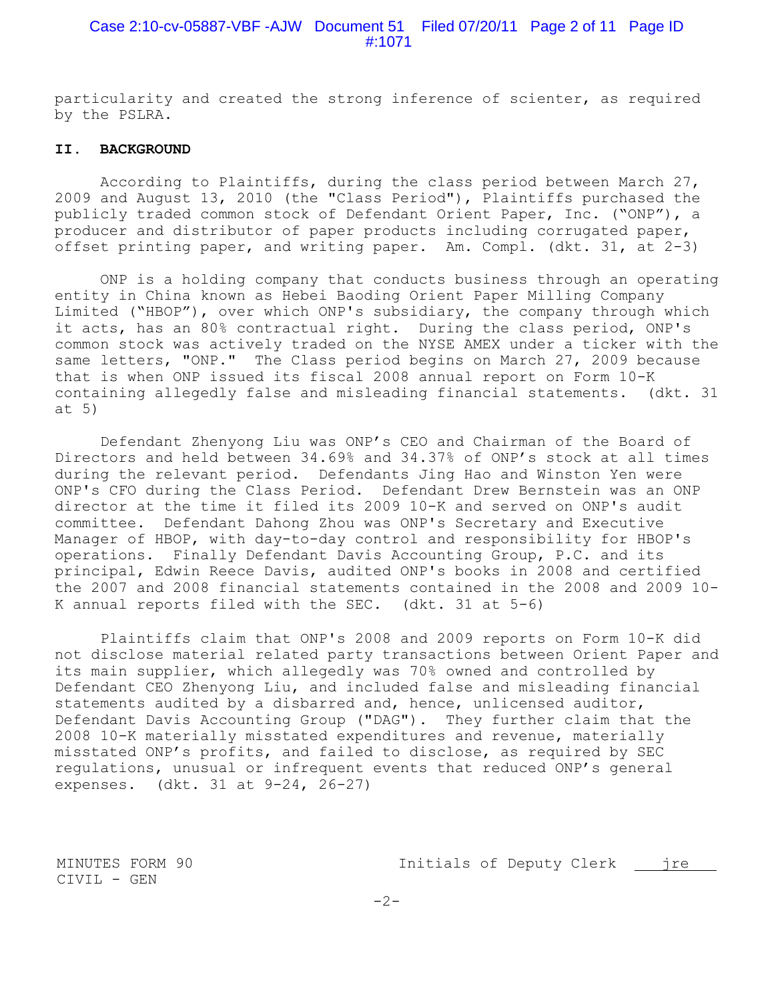## Case 2:10-cv-05887-VBF -AJW Document 51 Filed 07/20/11 Page 2 of 11 Page ID #:1071

particularity and created the strong inference of scienter, as required by the PSLRA.

#### **II. BACKGROUND**

According to Plaintiffs, during the class period between March 27, 2009 and August 13, 2010 (the "Class Period"), Plaintiffs purchased the publicly traded common stock of Defendant Orient Paper, Inc. ("ONP"), a producer and distributor of paper products including corrugated paper, offset printing paper, and writing paper. Am. Compl. (dkt. 31, at 2-3)

ONP is a holding company that conducts business through an operating entity in China known as Hebei Baoding Orient Paper Milling Company Limited ("HBOP"), over which ONP's subsidiary, the company through which it acts, has an 80% contractual right. During the class period, ONP's common stock was actively traded on the NYSE AMEX under a ticker with the same letters, "ONP." The Class period begins on March 27, 2009 because that is when ONP issued its fiscal 2008 annual report on Form 10-K containing allegedly false and misleading financial statements. (dkt. 31 at 5)

Defendant Zhenyong Liu was ONP's CEO and Chairman of the Board of Directors and held between 34.69% and 34.37% of ONP's stock at all times during the relevant period. Defendants Jing Hao and Winston Yen were ONP's CFO during the Class Period. Defendant Drew Bernstein was an ONP director at the time it filed its 2009 10-K and served on ONP's audit committee. Defendant Dahong Zhou was ONP's Secretary and Executive Manager of HBOP, with day-to-day control and responsibility for HBOP's operations. Finally Defendant Davis Accounting Group, P.C. and its principal, Edwin Reece Davis, audited ONP's books in 2008 and certified the 2007 and 2008 financial statements contained in the 2008 and 2009 10- K annual reports filed with the SEC**.** (dkt. 31 at 5-6)

Plaintiffs claim that ONP's 2008 and 2009 reports on Form 10-K did not disclose material related party transactions between Orient Paper and its main supplier, which allegedly was 70% owned and controlled by Defendant CEO Zhenyong Liu, and included false and misleading financial statements audited by a disbarred and, hence, unlicensed auditor, Defendant Davis Accounting Group ("DAG"). They further claim that the 2008 10-K materially misstated expenditures and revenue, materially misstated ONP's profits, and failed to disclose, as required by SEC regulations, unusual or infrequent events that reduced ONP's general expenses. (dkt. 31 at 9-24, 26-27)

MINUTES FORM 90 Initials of Deputy Clerk jre

CIVIL - GEN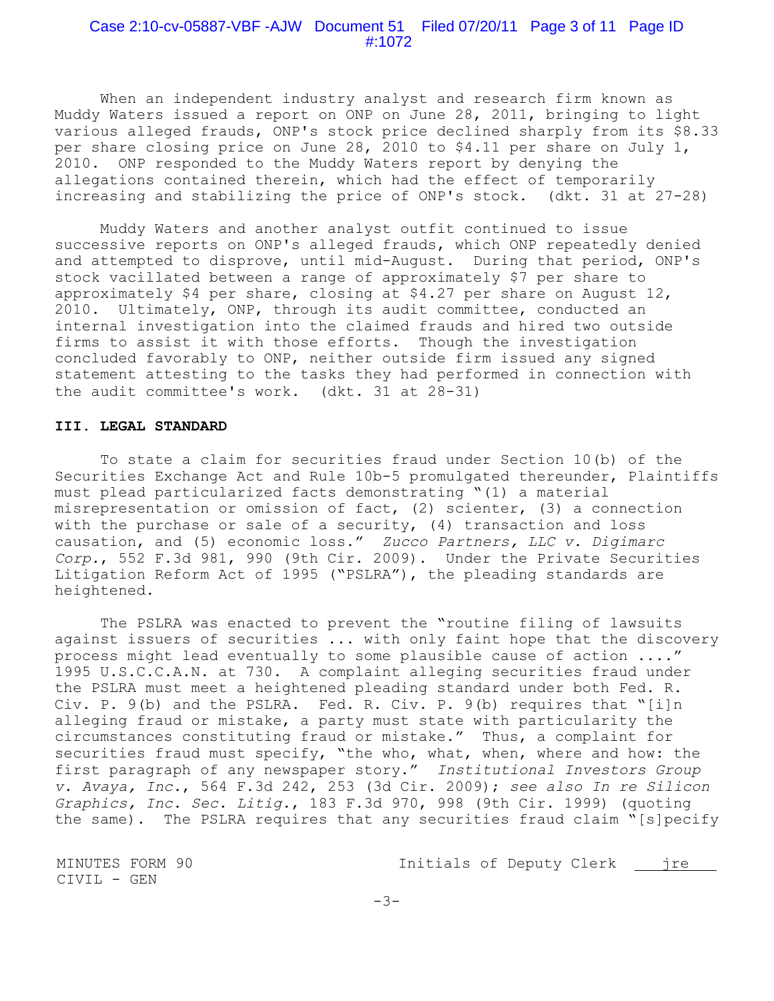#### Case 2:10-cv-05887-VBF -AJW Document 51 Filed 07/20/11 Page 3 of 11 Page ID #:1072

When an independent industry analyst and research firm known as Muddy Waters issued a report on ONP on June 28, 2011, bringing to light various alleged frauds, ONP's stock price declined sharply from its \$8.33 per share closing price on June 28, 2010 to \$4.11 per share on July 1, 2010. ONP responded to the Muddy Waters report by denying the allegations contained therein, which had the effect of temporarily increasing and stabilizing the price of ONP's stock. (dkt. 31 at 27-28)

Muddy Waters and another analyst outfit continued to issue successive reports on ONP's alleged frauds, which ONP repeatedly denied and attempted to disprove, until mid-August. During that period, ONP's stock vacillated between a range of approximately \$7 per share to approximately \$4 per share, closing at \$4.27 per share on August 12, 2010. Ultimately, ONP, through its audit committee, conducted an internal investigation into the claimed frauds and hired two outside firms to assist it with those efforts. Though the investigation concluded favorably to ONP, neither outside firm issued any signed statement attesting to the tasks they had performed in connection with the audit committee's work.(dkt. 31 at 28-31)

### **III. LEGAL STANDARD**

To state a claim for securities fraud under Section 10(b) of the Securities Exchange Act and Rule 10b-5 promulgated thereunder, Plaintiffs must plead particularized facts demonstrating "(1) a material misrepresentation or omission of fact, (2) scienter, (3) a connection with the purchase or sale of a security, (4) transaction and loss causation, and (5) economic loss." *Zucco Partners, LLC v. Digimarc Corp.*, 552 F.3d 981, 990 (9th Cir. 2009). Under the Private Securities Litigation Reform Act of 1995 ("PSLRA"), the pleading standards are heightened.

The PSLRA was enacted to prevent the "routine filing of lawsuits against issuers of securities ... with only faint hope that the discovery process might lead eventually to some plausible cause of action ...." 1995 U.S.C.C.A.N. at 730. A complaint alleging securities fraud under the PSLRA must meet a heightened pleading standard under both Fed. R. Civ. P.  $9(b)$  and the PSLRA. Fed. R. Civ. P.  $9(b)$  requires that "[i]n alleging fraud or mistake, a party must state with particularity the circumstances constituting fraud or mistake." Thus, a complaint for securities fraud must specify, "the who, what, when, where and how: the first paragraph of any newspaper story." *Institutional Investors Group v. Avaya, Inc.*, 564 F.3d 242, 253 (3d Cir. 2009); *see also In re Silicon Graphics, Inc. Sec. Litig.*, 183 F.3d 970, 998 (9th Cir. 1999) (quoting the same). The PSLRA requires that any securities fraud claim "[s]pecify

CIVIL - GEN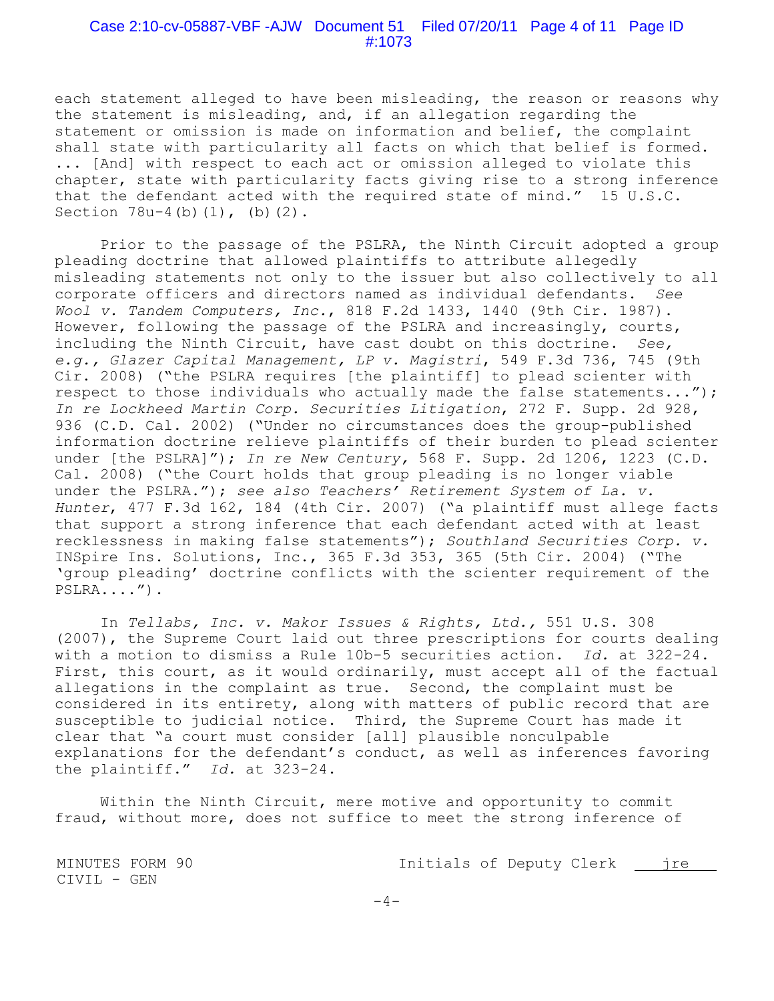### Case 2:10-cv-05887-VBF -AJW Document 51 Filed 07/20/11 Page 4 of 11 Page ID #:1073

each statement alleged to have been misleading, the reason or reasons why the statement is misleading, and, if an allegation regarding the statement or omission is made on information and belief, the complaint shall state with particularity all facts on which that belief is formed. ... [And] with respect to each act or omission alleged to violate this chapter, state with particularity facts giving rise to a strong inference that the defendant acted with the required state of mind." 15 U.S.C. Section 78u-4(b)(1), (b)(2).

Prior to the passage of the PSLRA, the Ninth Circuit adopted a group pleading doctrine that allowed plaintiffs to attribute allegedly misleading statements not only to the issuer but also collectively to all corporate officers and directors named as individual defendants. *See Wool v. Tandem Computers, Inc.*, 818 F.2d 1433, 1440 (9th Cir. 1987). However, following the passage of the PSLRA and increasingly, courts, including the Ninth Circuit, have cast doubt on this doctrine. *See, e.g., Glazer Capital Management, LP v. Magistri*, 549 F.3d 736, 745 (9th Cir. 2008) ("the PSLRA requires [the plaintiff] to plead scienter with respect to those individuals who actually made the false statements..."); *In re Lockheed Martin Corp. Securities Litigation*, 272 F. Supp. 2d 928, 936 (C.D. Cal. 2002) ("Under no circumstances does the group-published information doctrine relieve plaintiffs of their burden to plead scienter under [the PSLRA]"); *In re New Century,* 568 F. Supp. 2d 1206, 1223 (C.D. Cal. 2008) ("the Court holds that group pleading is no longer viable under the PSLRA."); *see also Teachers' Retirement System of La. v. Hunter*, 477 F.3d 162, 184 (4th Cir. 2007) ("a plaintiff must allege facts that support a strong inference that each defendant acted with at least recklessness in making false statements"); *Southland Securities Corp. v.* INSpire Ins. Solutions, Inc., 365 F.3d 353, 365 (5th Cir. 2004) ("The 'group pleading' doctrine conflicts with the scienter requirement of the PSLRA....").

In *Tellabs, Inc. v. Makor Issues & Rights, Ltd.,* 551 U.S. 308 (2007), the Supreme Court laid out three prescriptions for courts dealing with a motion to dismiss a Rule 10b-5 securities action. *Id.* at 322-24. First, this court, as it would ordinarily, must accept all of the factual allegations in the complaint as true. Second, the complaint must be considered in its entirety, along with matters of public record that are susceptible to judicial notice. Third, the Supreme Court has made it clear that "a court must consider [all] plausible nonculpable explanations for the defendant's conduct, as well as inferences favoring the plaintiff." *Id.* at 323-24.

Within the Ninth Circuit, mere motive and opportunity to commit fraud, without more, does not suffice to meet the strong inference of

MINUTES FORM 90 Initials of Deputy Clerk jre

CIVIL - GEN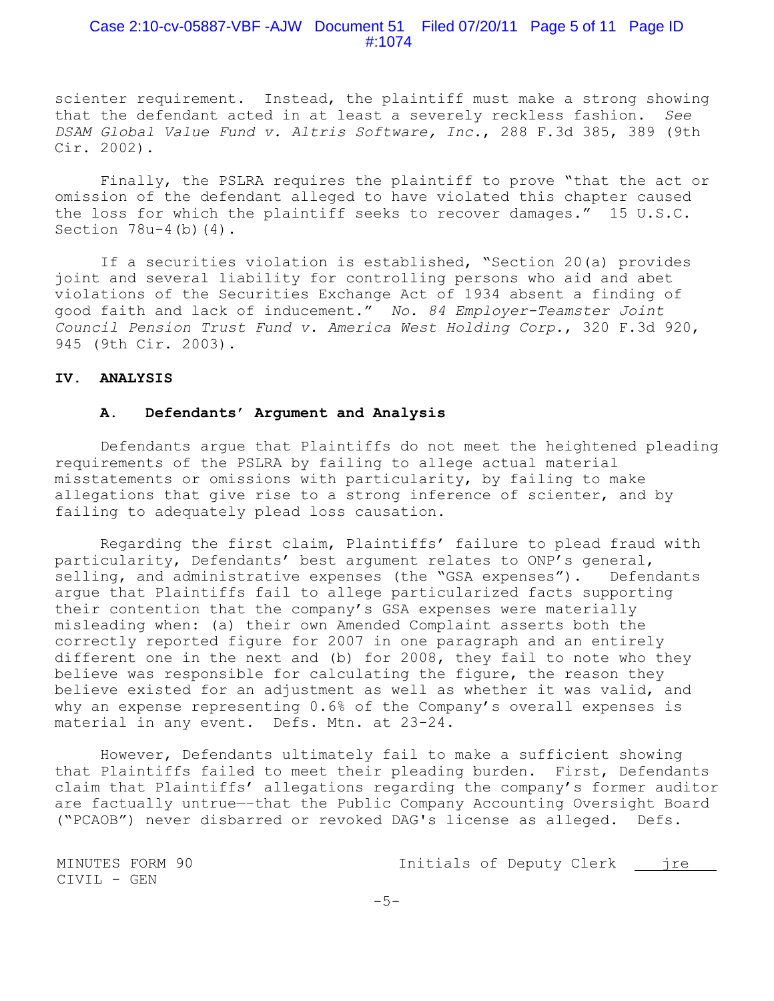## Case 2:10-cv-05887-VBF -AJW Document 51 Filed 07/20/11 Page 5 of 11 Page ID #:1074

scienter requirement. Instead, the plaintiff must make a strong showing that the defendant acted in at least a severely reckless fashion. *See DSAM Global Value Fund v. Altris Software, Inc.*, 288 F.3d 385, 389 (9th Cir. 2002).

Finally, the PSLRA requires the plaintiff to prove "that the act or omission of the defendant alleged to have violated this chapter caused the loss for which the plaintiff seeks to recover damages." 15 U.S.C. Section 78u-4(b)(4).

If a securities violation is established, "Section 20(a) provides joint and several liability for controlling persons who aid and abet violations of the Securities Exchange Act of 1934 absent a finding of good faith and lack of inducement." *No. 84 Employer-Teamster Joint Council Pension Trust Fund v. America West Holding Corp.*, 320 F.3d 920, 945 (9th Cir. 2003).

## **IV. ANALYSIS**

## **A. Defendants' Argument and Analysis**

Defendants argue that Plaintiffs do not meet the heightened pleading requirements of the PSLRA by failing to allege actual material misstatements or omissions with particularity, by failing to make allegations that give rise to a strong inference of scienter, and by failing to adequately plead loss causation.

Regarding the first claim, Plaintiffs' failure to plead fraud with particularity, Defendants' best argument relates to ONP's general, selling, and administrative expenses (the "GSA expenses"). Defendants argue that Plaintiffs fail to allege particularized facts supporting their contention that the company's GSA expenses were materially misleading when: (a) their own Amended Complaint asserts both the correctly reported figure for 2007 in one paragraph and an entirely different one in the next and (b) for 2008, they fail to note who they believe was responsible for calculating the figure, the reason they believe existed for an adjustment as well as whether it was valid, and why an expense representing 0.6% of the Company's overall expenses is material in any event. Defs. Mtn. at 23-24.

However, Defendants ultimately fail to make a sufficient showing that Plaintiffs failed to meet their pleading burden. First, Defendants claim that Plaintiffs' allegations regarding the company's former auditor are factually untrue—–that the Public Company Accounting Oversight Board ("PCAOB") never disbarred or revoked DAG's license as alleged. Defs.

CIVIL - GEN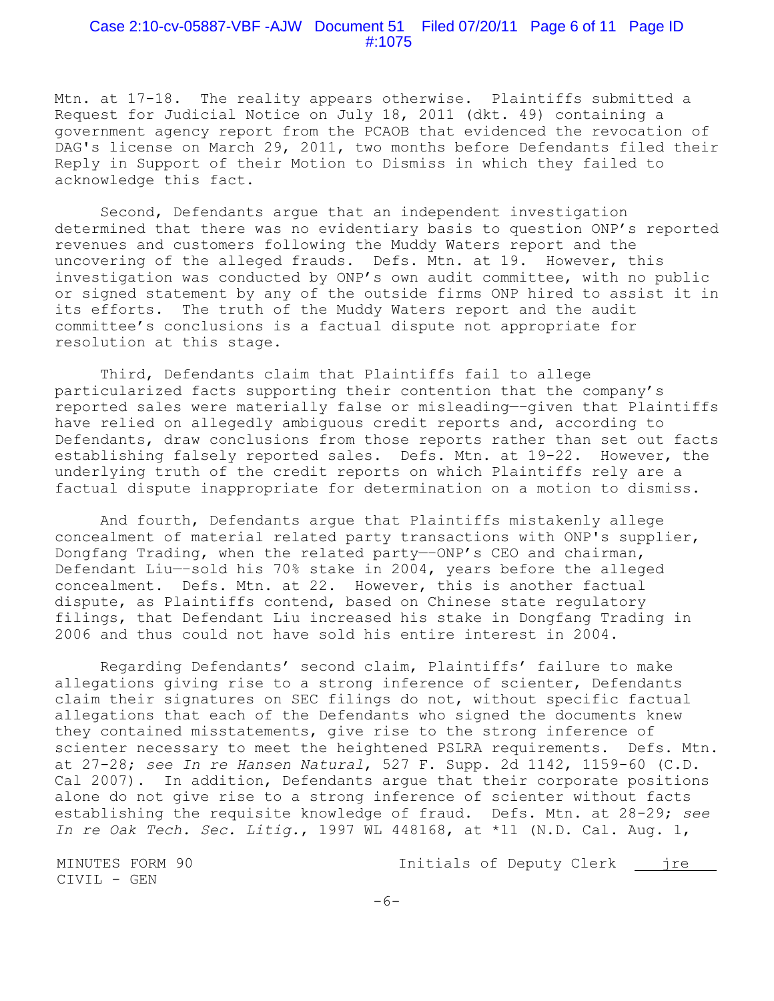#### Case 2:10-cv-05887-VBF -AJW Document 51 Filed 07/20/11 Page 6 of 11 Page ID #:1075

Mtn. at 17-18. The reality appears otherwise. Plaintiffs submitted a Request for Judicial Notice on July 18, 2011 (dkt. 49) containing a government agency report from the PCAOB that evidenced the revocation of DAG's license on March 29, 2011, two months before Defendants filed their Reply in Support of their Motion to Dismiss in which they failed to acknowledge this fact.

Second, Defendants argue that an independent investigation determined that there was no evidentiary basis to question ONP's reported revenues and customers following the Muddy Waters report and the uncovering of the alleged frauds. Defs. Mtn. at 19. However, this investigation was conducted by ONP's own audit committee, with no public or signed statement by any of the outside firms ONP hired to assist it in its efforts. The truth of the Muddy Waters report and the audit committee's conclusions is a factual dispute not appropriate for resolution at this stage.

Third, Defendants claim that Plaintiffs fail to allege particularized facts supporting their contention that the company's reported sales were materially false or misleading—–given that Plaintiffs have relied on allegedly ambiguous credit reports and, according to Defendants, draw conclusions from those reports rather than set out facts establishing falsely reported sales. Defs. Mtn. at 19-22. However, the underlying truth of the credit reports on which Plaintiffs rely are a factual dispute inappropriate for determination on a motion to dismiss.

And fourth, Defendants argue that Plaintiffs mistakenly allege concealment of material related party transactions with ONP's supplier, Dongfang Trading, when the related party—–ONP's CEO and chairman, Defendant Liu—–sold his 70% stake in 2004, years before the alleged concealment. Defs. Mtn. at 22. However, this is another factual dispute, as Plaintiffs contend, based on Chinese state regulatory filings, that Defendant Liu increased his stake in Dongfang Trading in 2006 and thus could not have sold his entire interest in 2004.

Regarding Defendants' second claim, Plaintiffs' failure to make allegations giving rise to a strong inference of scienter, Defendants claim their signatures on SEC filings do not, without specific factual allegations that each of the Defendants who signed the documents knew they contained misstatements, give rise to the strong inference of scienter necessary to meet the heightened PSLRA requirements. Defs. Mtn. at 27-28; *see In re Hansen Natural*, 527 F. Supp. 2d 1142, 1159-60 (C.D. Cal 2007). In addition, Defendants argue that their corporate positions alone do not give rise to a strong inference of scienter without facts establishing the requisite knowledge of fraud. Defs. Mtn. at 28-29; *see In re Oak Tech. Sec. Litig.*, 1997 WL 448168, at \*11 (N.D. Cal. Aug. 1,

CIVIL - GEN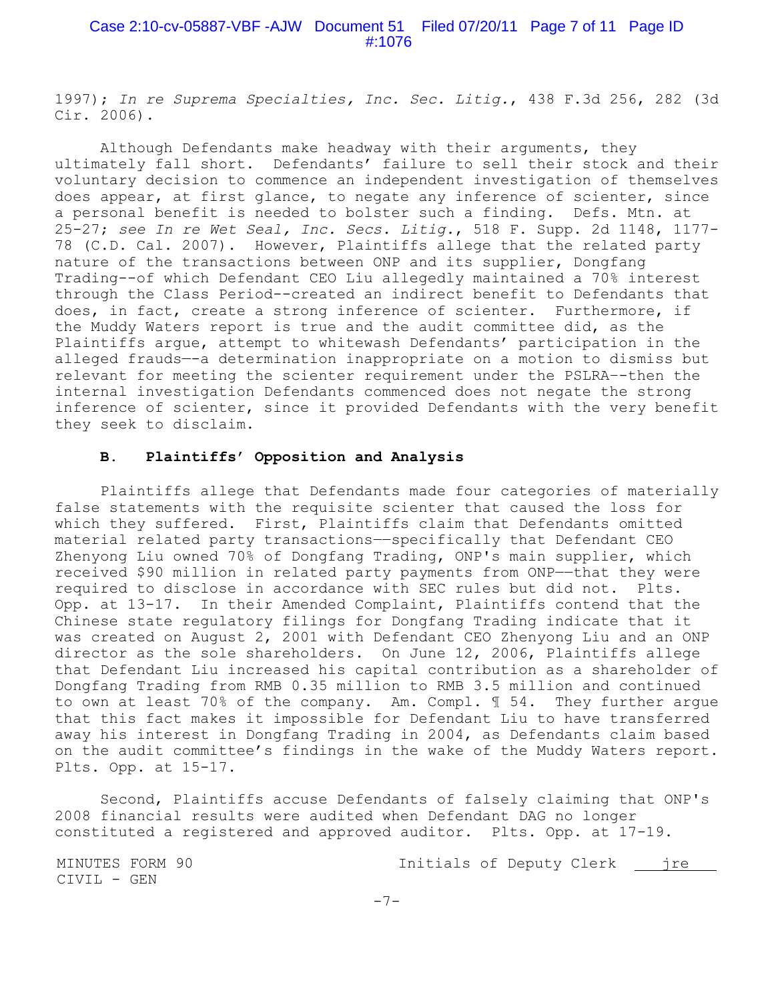## Case 2:10-cv-05887-VBF -AJW Document 51 Filed 07/20/11 Page 7 of 11 Page ID #:1076

1997); *In re Suprema Specialties, Inc. Sec. Litig.*, 438 F.3d 256, 282 (3d Cir. 2006).

Although Defendants make headway with their arguments, they ultimately fall short. Defendants' failure to sell their stock and their voluntary decision to commence an independent investigation of themselves does appear, at first glance, to negate any inference of scienter, since a personal benefit is needed to bolster such a finding. Defs. Mtn. at 25-27; *see In re Wet Seal, Inc. Secs. Litig.*, 518 F. Supp. 2d 1148, 1177- 78 (C.D. Cal. 2007). However, Plaintiffs allege that the related party nature of the transactions between ONP and its supplier, Dongfang Trading--of which Defendant CEO Liu allegedly maintained a 70% interest through the Class Period--created an indirect benefit to Defendants that does, in fact, create a strong inference of scienter. Furthermore, if the Muddy Waters report is true and the audit committee did, as the Plaintiffs argue, attempt to whitewash Defendants' participation in the alleged frauds—-a determination inappropriate on a motion to dismiss but relevant for meeting the scienter requirement under the PSLRA–-then the internal investigation Defendants commenced does not negate the strong inference of scienter, since it provided Defendants with the very benefit they seek to disclaim.

#### **B. Plaintiffs' Opposition and Analysis**

Plaintiffs allege that Defendants made four categories of materially false statements with the requisite scienter that caused the loss for which they suffered. First, Plaintiffs claim that Defendants omitted material related party transactions--specifically that Defendant CEO Zhenyong Liu owned 70% of Dongfang Trading, ONP's main supplier, which received \$90 million in related party payments from ONP--that they were required to disclose in accordance with SEC rules but did not. Plts. Opp. at 13-17. In their Amended Complaint, Plaintiffs contend that the Chinese state regulatory filings for Dongfang Trading indicate that it was created on August 2, 2001 with Defendant CEO Zhenyong Liu and an ONP director as the sole shareholders. On June 12, 2006, Plaintiffs allege that Defendant Liu increased his capital contribution as a shareholder of Dongfang Trading from RMB 0.35 million to RMB 3.5 million and continued to own at least 70% of the company. Am. Compl. ¶ 54. They further argue that this fact makes it impossible for Defendant Liu to have transferred away his interest in Dongfang Trading in 2004, as Defendants claim based on the audit committee's findings in the wake of the Muddy Waters report. Plts. Opp. at 15-17.

Second, Plaintiffs accuse Defendants of falsely claiming that ONP's 2008 financial results were audited when Defendant DAG no longer constituted a registered and approved auditor. Plts. Opp. at 17-19.

CIVIL - GEN

MINUTES FORM 90 Initials of Deputy Clerk jre

-7-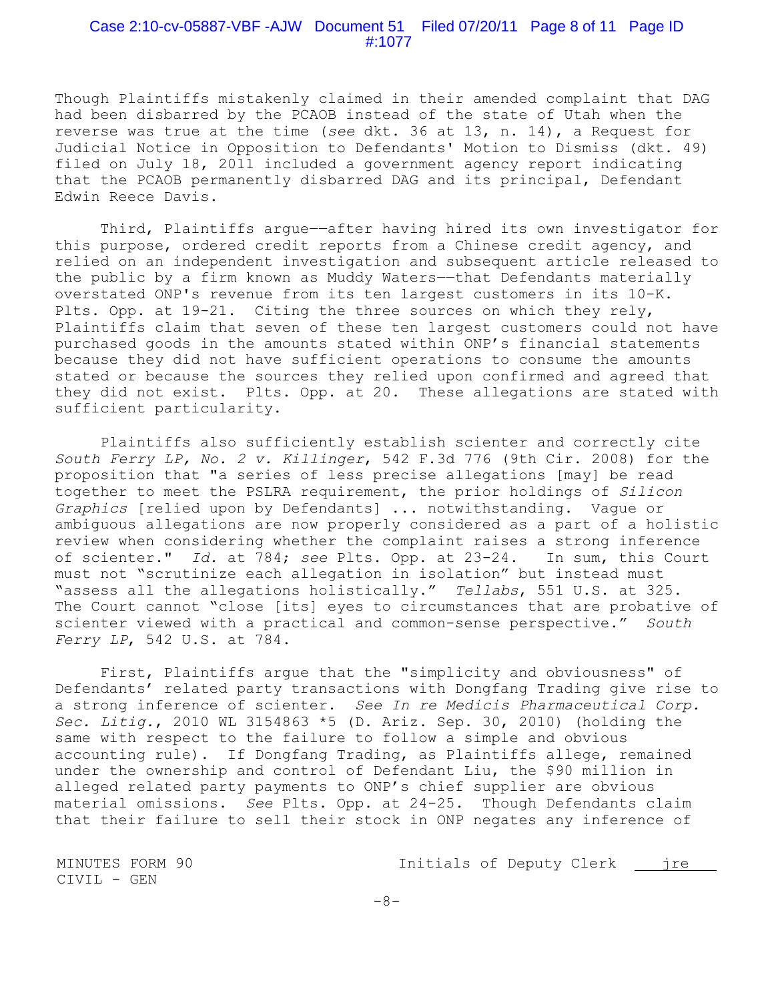### Case 2:10-cv-05887-VBF -AJW Document 51 Filed 07/20/11 Page 8 of 11 Page ID #:1077

Though Plaintiffs mistakenly claimed in their amended complaint that DAG had been disbarred by the PCAOB instead of the state of Utah when the reverse was true at the time (*see* dkt. 36 at 13, n. 14), a Request for Judicial Notice in Opposition to Defendants' Motion to Dismiss (dkt. 49) filed on July 18, 2011 included a government agency report indicating that the PCAOB permanently disbarred DAG and its principal, Defendant Edwin Reece Davis.

Third, Plaintiffs argue--after having hired its own investigator for this purpose, ordered credit reports from a Chinese credit agency, and relied on an independent investigation and subsequent article released to the public by a firm known as Muddy Waters--that Defendants materially overstated ONP's revenue from its ten largest customers in its 10-K. Plts. Opp. at 19-21. Citing the three sources on which they rely, Plaintiffs claim that seven of these ten largest customers could not have purchased goods in the amounts stated within ONP's financial statements because they did not have sufficient operations to consume the amounts stated or because the sources they relied upon confirmed and agreed that they did not exist. Plts. Opp. at 20. These allegations are stated with sufficient particularity.

Plaintiffs also sufficiently establish scienter and correctly cite *South Ferry LP, No. 2 v. Killinger*, 542 F.3d 776 (9th Cir. 2008) for the proposition that "a series of less precise allegations [may] be read together to meet the PSLRA requirement, the prior holdings of *Silicon Graphics* [relied upon by Defendants] ... notwithstanding. Vague or ambiguous allegations are now properly considered as a part of a holistic review when considering whether the complaint raises a strong inference of scienter." *Id.* at 784; *see* Plts. Opp. at 23-24. In sum, this Court must not "scrutinize each allegation in isolation" but instead must "assess all the allegations holistically." *Tellabs*, 551 U.S. at 325. The Court cannot "close [its] eyes to circumstances that are probative of scienter viewed with a practical and common-sense perspective." *South Ferry LP*, 542 U.S. at 784.

First, Plaintiffs argue that the "simplicity and obviousness" of Defendants' related party transactions with Dongfang Trading give rise to a strong inference of scienter. *See In re Medicis Pharmaceutical Corp. Sec. Litig.*, 2010 WL 3154863 \*5 (D. Ariz. Sep. 30, 2010) (holding the same with respect to the failure to follow a simple and obvious accounting rule). If Dongfang Trading, as Plaintiffs allege, remained under the ownership and control of Defendant Liu, the \$90 million in alleged related party payments to ONP's chief supplier are obvious material omissions. *See* Plts. Opp. at 24-25. Though Defendants claim that their failure to sell their stock in ONP negates any inference of

CIVIL - GEN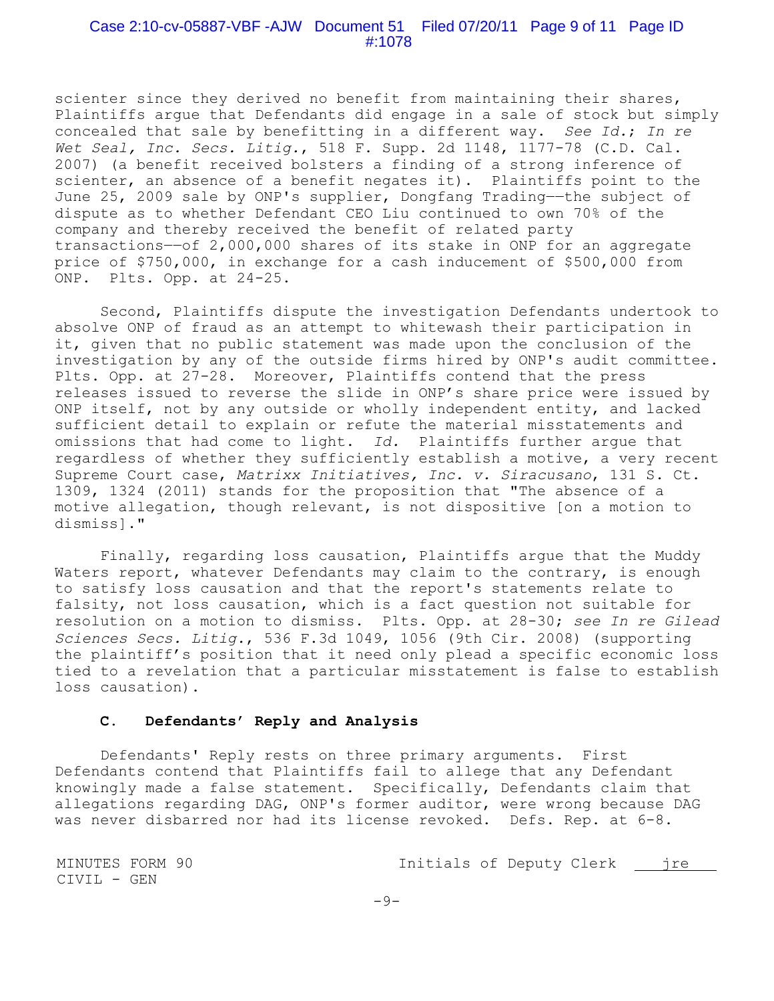#### Case 2:10-cv-05887-VBF -AJW Document 51 Filed 07/20/11 Page 9 of 11 Page ID #:1078

scienter since they derived no benefit from maintaining their shares, Plaintiffs argue that Defendants did engage in a sale of stock but simply concealed that sale by benefitting in a different way. *See Id.*; *In re Wet Seal, Inc. Secs. Litig.*, 518 F. Supp. 2d 1148, 1177-78 (C.D. Cal. 2007) (a benefit received bolsters a finding of a strong inference of scienter, an absence of a benefit negates it). Plaintiffs point to the June 25, 2009 sale by ONP's supplier, Dongfang Trading--the subject of dispute as to whether Defendant CEO Liu continued to own 70% of the company and thereby received the benefit of related party transactions-of 2,000,000 shares of its stake in ONP for an aggregate price of \$750,000, in exchange for a cash inducement of \$500,000 from ONP. Plts. Opp. at 24-25.

Second, Plaintiffs dispute the investigation Defendants undertook to absolve ONP of fraud as an attempt to whitewash their participation in it, given that no public statement was made upon the conclusion of the investigation by any of the outside firms hired by ONP's audit committee. Plts. Opp. at 27-28. Moreover, Plaintiffs contend that the press releases issued to reverse the slide in ONP's share price were issued by ONP itself, not by any outside or wholly independent entity, and lacked sufficient detail to explain or refute the material misstatements and omissions that had come to light. *Id.* Plaintiffs further argue that regardless of whether they sufficiently establish a motive, a very recent Supreme Court case, *Matrixx Initiatives, Inc. v. Siracusano*, 131 S. Ct. 1309, 1324 (2011) stands for the proposition that "The absence of a motive allegation, though relevant, is not dispositive [on a motion to dismiss]."

Finally, regarding loss causation, Plaintiffs argue that the Muddy Waters report, whatever Defendants may claim to the contrary, is enough to satisfy loss causation and that the report's statements relate to falsity, not loss causation, which is a fact question not suitable for resolution on a motion to dismiss.Plts. Opp. at 28-30; *see In re Gilead Sciences Secs. Litig.*, 536 F.3d 1049, 1056 (9th Cir. 2008) (supporting the plaintiff's position that it need only plead a specific economic loss tied to a revelation that a particular misstatement is false to establish loss causation).

#### **C. Defendants' Reply and Analysis**

Defendants' Reply rests on three primary arguments. First Defendants contend that Plaintiffs fail to allege that any Defendant knowingly made a false statement. Specifically, Defendants claim that allegations regarding DAG, ONP's former auditor, were wrong because DAG was never disbarred nor had its license revoked. Defs. Rep. at 6-8.

MINUTES FORM 90 Initials of Deputy Clerk jre CIVIL - GEN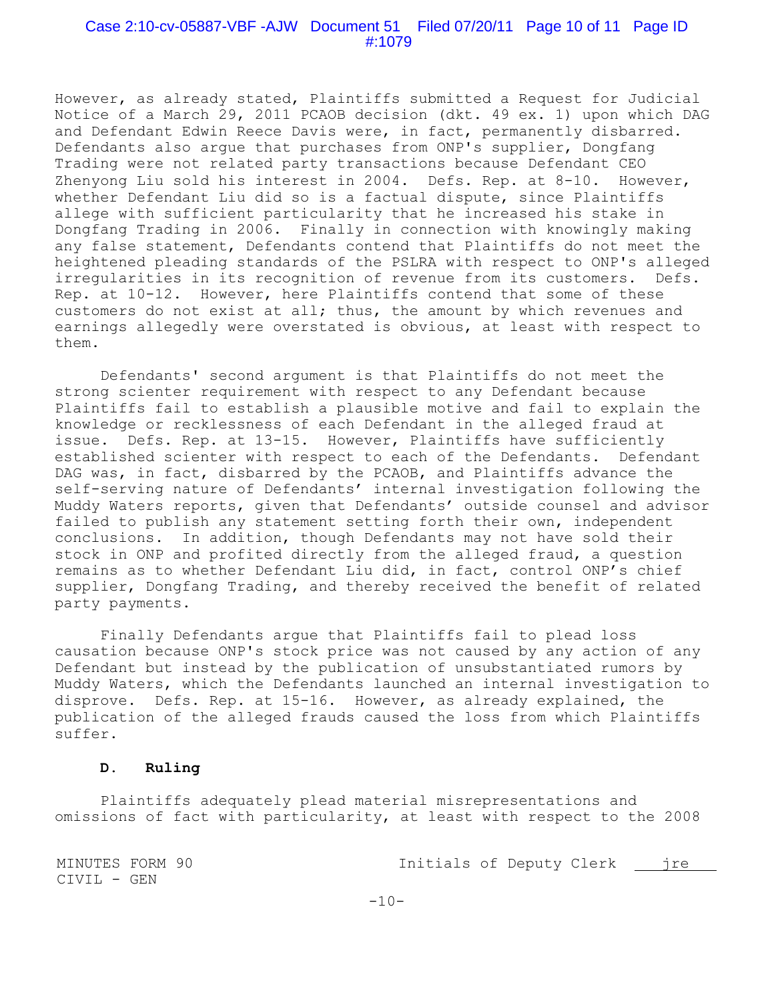### Case 2:10-cv-05887-VBF -AJW Document 51 Filed 07/20/11 Page 10 of 11 Page ID #:1079

However, as already stated, Plaintiffs submitted a Request for Judicial Notice of a March 29, 2011 PCAOB decision (dkt. 49 ex. 1) upon which DAG and Defendant Edwin Reece Davis were, in fact, permanently disbarred. Defendants also argue that purchases from ONP's supplier, Dongfang Trading were not related party transactions because Defendant CEO Zhenyong Liu sold his interest in 2004.Defs. Rep. at 8-10. However, whether Defendant Liu did so is a factual dispute, since Plaintiffs allege with sufficient particularity that he increased his stake in Dongfang Trading in 2006. Finally in connection with knowingly making any false statement, Defendants contend that Plaintiffs do not meet the heightened pleading standards of the PSLRA with respect to ONP's alleged irregularities in its recognition of revenue from its customers. Defs. Rep. at 10-12. However, here Plaintiffs contend that some of these customers do not exist at all; thus, the amount by which revenues and earnings allegedly were overstated is obvious, at least with respect to them.

Defendants' second argument is that Plaintiffs do not meet the strong scienter requirement with respect to any Defendant because Plaintiffs fail to establish a plausible motive and fail to explain the knowledge or recklessness of each Defendant in the alleged fraud at issue. Defs. Rep. at 13-15. However, Plaintiffs have sufficiently established scienter with respect to each of the Defendants. Defendant DAG was, in fact, disbarred by the PCAOB, and Plaintiffs advance the self-serving nature of Defendants' internal investigation following the Muddy Waters reports, given that Defendants' outside counsel and advisor failed to publish any statement setting forth their own, independent conclusions. In addition, though Defendants may not have sold their stock in ONP and profited directly from the alleged fraud, a question remains as to whether Defendant Liu did, in fact, control ONP's chief supplier, Dongfang Trading, and thereby received the benefit of related party payments.

Finally Defendants argue that Plaintiffs fail to plead loss causation because ONP's stock price was not caused by any action of any Defendant but instead by the publication of unsubstantiated rumors by Muddy Waters, which the Defendants launched an internal investigation to disprove.Defs. Rep. at 15-16. However, as already explained, the publication of the alleged frauds caused the loss from which Plaintiffs suffer.

#### **D. Ruling**

Plaintiffs adequately plead material misrepresentations and omissions of fact with particularity, at least with respect to the 2008

MINUTES FORM 90 Initials of Deputy Clerk jre CIVIL - GEN